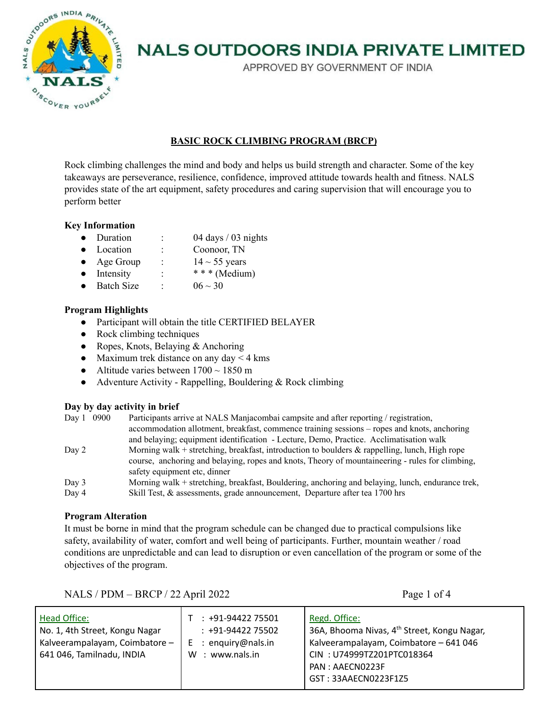

APPROVED BY GOVERNMENT OF INDIA

# **BASIC ROCK CLIMBING PROGRAM (BRCP)**

Rock climbing challenges the mind and body and helps us build strength and character. Some of the key takeaways are perseverance, resilience, confidence, improved attitude towards health and fitness. NALS provides state of the art equipment, safety procedures and caring supervision that will encourage you to perform better

# **Key Information**

- Duration : 04 days / 03 nights
- Location : Coonoor, TN
- Age Group :  $14 \sim 55$  years
- Intensity :  $***$  (Medium)
- Batch Size :  $06 \sim 30$

# **Program Highlights**

- Participant will obtain the title CERTIFIED BELAYER
- Rock climbing techniques
- Ropes, Knots, Belaying & Anchoring
- Maximum trek distance on any day  $< 4$  kms
- Altitude varies between  $1700 \sim 1850$  m
- Adventure Activity Rappelling, Bouldering  $& \text{Rock climbing}$

# **Day by day activity in brief**

| 0900<br>Day 1  | Participants arrive at NALS Manjacombai campsite and after reporting / registration,<br>accommodation allotment, breakfast, commence training sessions – ropes and knots, anchoring<br>and belaying; equipment identification - Lecture, Demo, Practice. Acclimatisation walk |
|----------------|-------------------------------------------------------------------------------------------------------------------------------------------------------------------------------------------------------------------------------------------------------------------------------|
| Day 2          | Morning walk + stretching, breakfast, introduction to boulders $\&$ rappelling, lunch, High rope<br>course, anchoring and belaying, ropes and knots, Theory of mountaineering - rules for climbing,<br>safety equipment etc, dinner                                           |
| Day 3<br>Day 4 | Morning walk + stretching, breakfast, Bouldering, anchoring and belaying, lunch, endurance trek,<br>Skill Test, & assessments, grade announcement, Departure after tea 1700 hrs                                                                                               |

# **Program Alteration**

It must be borne in mind that the program schedule can be changed due to practical compulsions like safety, availability of water, comfort and well being of participants. Further, mountain weather / road conditions are unpredictable and can lead to disruption or even cancellation of the program or some of the objectives of the program.

NALS / PDM – BRCP / 22 April 2022 Page 1 of 4

| Head Office:<br>No. 1, 4th Street, Kongu Nagar<br>Kalveerampalayam, Coimbatore -<br>641 046, Tamilnadu, INDIA | $: +91-9442275501$<br>$: +91-9442275502$<br>$E$ : enguiry@nals.in<br>: www.nals.in<br>W | Regd. Office:<br>36A, Bhooma Nivas, 4 <sup>th</sup> Street, Kongu Nagar,<br>Kalveerampalayam, Coimbatore - 641 046<br>CIN: U74999TZ201PTC018364<br>PAN: AAECN0223F<br>GST: 33AAECN0223F1Z5 |
|---------------------------------------------------------------------------------------------------------------|-----------------------------------------------------------------------------------------|--------------------------------------------------------------------------------------------------------------------------------------------------------------------------------------------|
|---------------------------------------------------------------------------------------------------------------|-----------------------------------------------------------------------------------------|--------------------------------------------------------------------------------------------------------------------------------------------------------------------------------------------|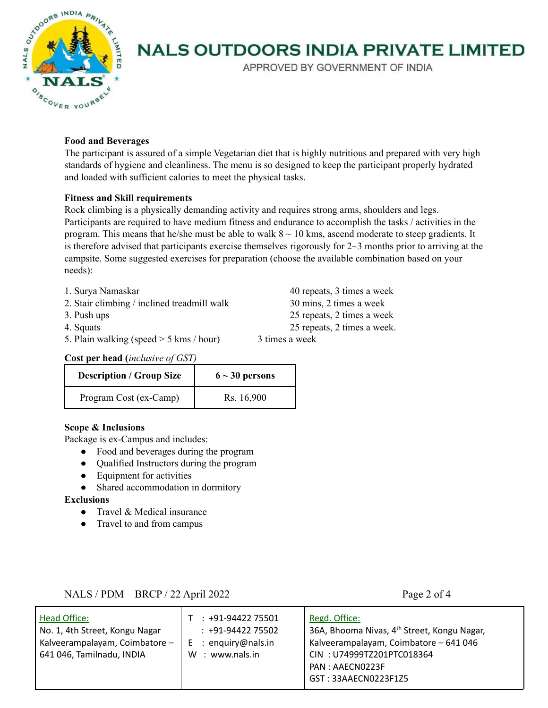

APPROVED BY GOVERNMENT OF INDIA

# **Food and Beverages**

The participant is assured of a simple Vegetarian diet that is highly nutritious and prepared with very high standards of hygiene and cleanliness. The menu is so designed to keep the participant properly hydrated and loaded with sufficient calories to meet the physical tasks.

# **Fitness and Skill requirements**

Rock climbing is a physically demanding activity and requires strong arms, shoulders and legs. Participants are required to have medium fitness and endurance to accomplish the tasks / activities in the program. This means that he/she must be able to walk  $8 \sim 10$  kms, ascend moderate to steep gradients. It is therefore advised that participants exercise themselves rigorously for  $2~3$  months prior to arriving at the campsite. Some suggested exercises for preparation (choose the available combination based on your needs):

- 
- 2. Stair climbing / inclined treadmill walk 30 mins, 2 times a week
- 
- 
- 5. Plain walking (speed  $>$  5 kms / hour) 3 times a week

1. Surya Namaskar 40 repeats, 3 times a week 3. Push ups 25 repeats, 2 times a week 4. Squats 25 repeats, 2 times a week.

**Cost per head (***inclusive of GST)*

| <b>Description / Group Size</b> | $6 \sim 30$ persons |
|---------------------------------|---------------------|
| Program Cost (ex-Camp)          | Rs. 16,900          |

# **Scope & Inclusions**

Package is ex-Campus and includes:

- Food and beverages during the program
- Qualified Instructors during the program
- Equipment for activities
- Shared accommodation in dormitory

**Exclusions**

- Travel & Medical insurance
- Travel to and from campus

# NALS / PDM – BRCP / 22 April 2022 Page 2 of 4

| Head Office:<br>No. 1, 4th Street, Kongu Nagar<br>Kalveerampalayam, Coimbatore -<br>641 046, Tamilnadu, INDIA | $: +91-9442275501$<br>$: +91-9442275502$<br>$E$ : enguiry@nals.in<br>W : www.nals.in | Regd. Office:<br>36A, Bhooma Nivas, 4 <sup>th</sup> Street, Kongu Nagar,<br>Kalveerampalayam, Coimbatore - 641 046<br>CIN: U74999TZ201PTC018364<br>PAN: AAECN0223F<br>GST: 33AAECN0223F1Z5 |
|---------------------------------------------------------------------------------------------------------------|--------------------------------------------------------------------------------------|--------------------------------------------------------------------------------------------------------------------------------------------------------------------------------------------|
|---------------------------------------------------------------------------------------------------------------|--------------------------------------------------------------------------------------|--------------------------------------------------------------------------------------------------------------------------------------------------------------------------------------------|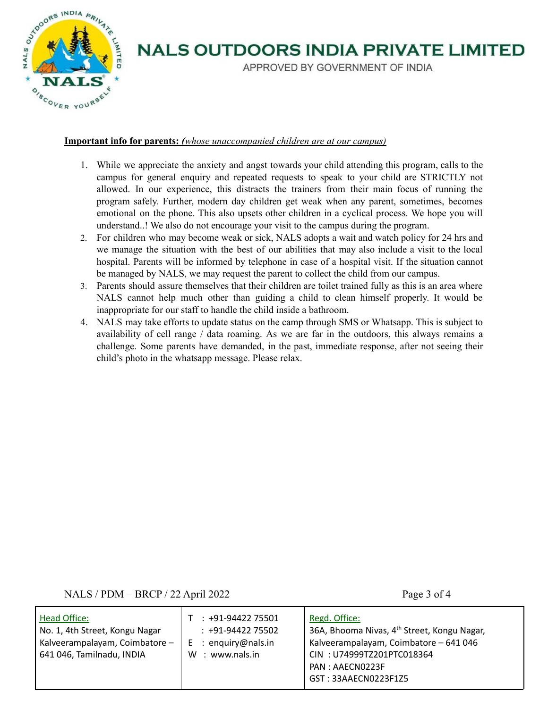

APPROVED BY GOVERNMENT OF INDIA

# **Important info for parents:** *(whose unaccompanied children are at our campus)*

- 1. While we appreciate the anxiety and angst towards your child attending this program, calls to the campus for general enquiry and repeated requests to speak to your child are STRICTLY not allowed. In our experience, this distracts the trainers from their main focus of running the program safely. Further, modern day children get weak when any parent, sometimes, becomes emotional on the phone. This also upsets other children in a cyclical process. We hope you will understand..! We also do not encourage your visit to the campus during the program.
- 2. For children who may become weak or sick, NALS adopts a wait and watch policy for 24 hrs and we manage the situation with the best of our abilities that may also include a visit to the local hospital. Parents will be informed by telephone in case of a hospital visit. If the situation cannot be managed by NALS, we may request the parent to collect the child from our campus.
- 3. Parents should assure themselves that their children are toilet trained fully as this is an area where NALS cannot help much other than guiding a child to clean himself properly. It would be inappropriate for our staff to handle the child inside a bathroom.
- 4. NALS may take efforts to update status on the camp through SMS or Whatsapp. This is subject to availability of cell range / data roaming. As we are far in the outdoors, this always remains a challenge. Some parents have demanded, in the past, immediate response, after not seeing their child's photo in the whatsapp message. Please relax.

NALS / PDM – BRCP / 22 April 2022 Page 3 of 4

| 36A, Bhooma Nivas, 4 <sup>th</sup> Street, Kongu Nagar,<br>Kalveerampalayam, Coimbatore - 641 046<br>CIN: U74999TZ201PTC018364<br>GST: 33AAECN0223F1Z5 |
|--------------------------------------------------------------------------------------------------------------------------------------------------------|
|                                                                                                                                                        |